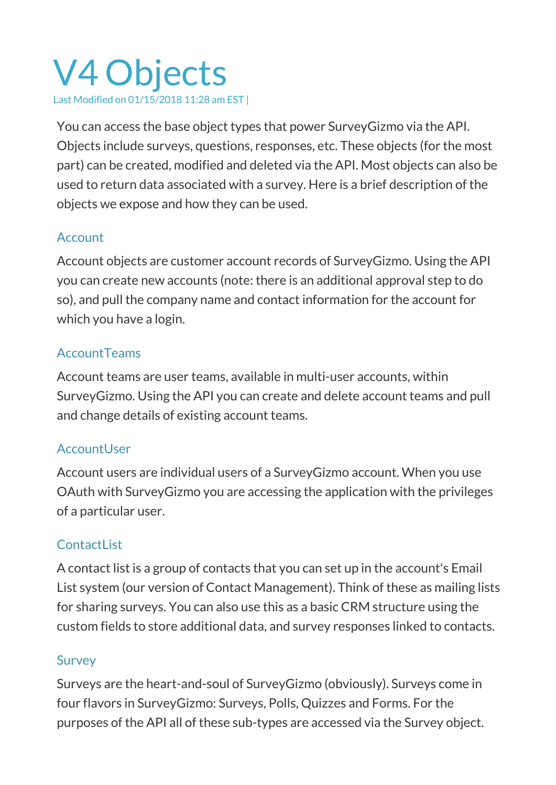# V4 Objects Last Modified on 01/15/2018 11:28 am EST |

You can access the base object types that power SurveyGizmo via the API. Objects include surveys, questions, responses, etc. These objects (for the most part) can be created, modified and deleted via the API. Most objects can also be used to return data associated with a survey. Here is a brief description of the objects we expose and how they can be used.

## Account

Account objects are customer account records of SurveyGizmo. Using the API you can create new accounts (note: there is an additional approval step to do so), and pull the company name and contact information for the account for which you have a login.

#### **AccountTeams**

Account teams are user teams, available in multi-user accounts, within SurveyGizmo. Using the API you can create and delete account teams and pull and change details of existing account teams.

#### **AccountUser**

Account users are individual users of a SurveyGizmo account. When you use OAuth with SurveyGizmo you are accessing the application with the privileges of a particular user.

## ContactList

A contact list is a group of contacts that you can set up in the account's Email List system (our version of Contact Management). Think of these as mailing lists for sharing surveys. You can also use this as a basic CRM structure using the custom fields to store additional data, and survey responses linked to contacts.

#### **Survey**

Surveys are the heart-and-soul of SurveyGizmo (obviously). Surveys come in four flavors in SurveyGizmo: Surveys, Polls, Quizzes and Forms. For the purposes of the API all of these sub-types are accessed via the Survey object.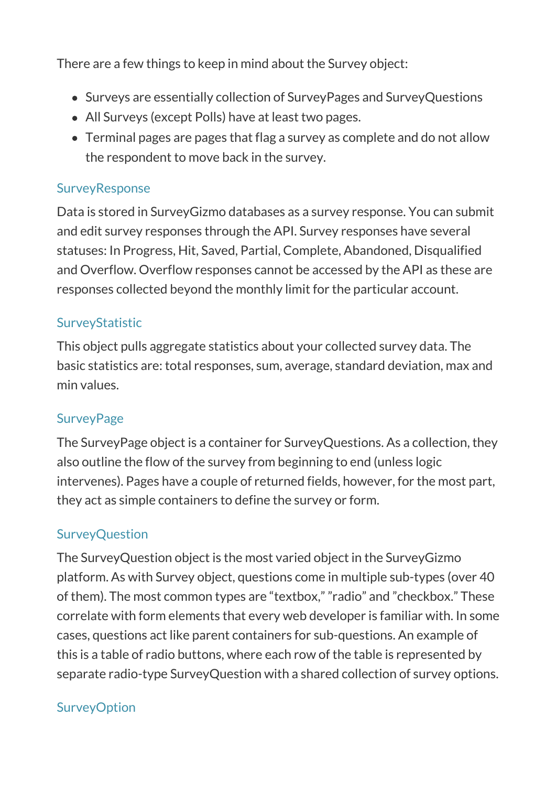There are a few things to keep in mind about the Survey object:

- Surveys are essentially collection of SurveyPages and SurveyQuestions
- All Surveys (except Polls) have at least two pages.
- Terminal pages are pages that flag a survey as complete and do not allow the respondent to move back in the survey.

#### **SurveyResponse**

Data is stored in SurveyGizmo databases as a survey response. You can submit and edit survey responses through the API. Survey responses have several statuses: In Progress, Hit, Saved, Partial, Complete, Abandoned, Disqualified and Overflow. Overflow responses cannot be accessed by the API as these are responses collected beyond the monthly limit for the particular account.

# **SurveyStatistic**

This object pulls aggregate statistics about your collected survey data. The basic statistics are: total responses, sum, average, standard deviation, max and min values.

## **SurveyPage**

The SurveyPage object is a container for SurveyQuestions. As a collection, they also outline the flow of the survey from beginning to end (unless logic intervenes). Pages have a couple of returned fields, however, for the most part, they act as simple containers to define the survey or form.

## **SurveyQuestion**

The SurveyQuestion object is the most varied object in the SurveyGizmo platform. As with Survey object, questions come in multiple sub-types (over 40 of them). The most common types are "textbox," "radio" and "checkbox." These correlate with form elements that every web developer is familiar with. In some cases, questions act like parent containers for sub-questions. An example of this is a table of radio buttons, where each row of the table is represented by separate radio-type SurveyQuestion with a shared collection of survey options.

## **SurveyOption**